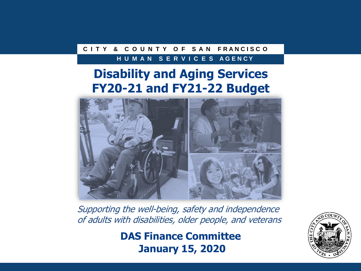#### **C I T Y & C O U N T Y O F S A N F R A N C I S C O**

#### **H U M A N S E R V I C E S A G E N C Y**

#### **Disability and Aging Services FY20-21 and FY21-22 Budget**



Supporting the well-being, safety and independence of adults with disabilities, older people, and veterans

> **DAS Finance Committee January 15, 2020**

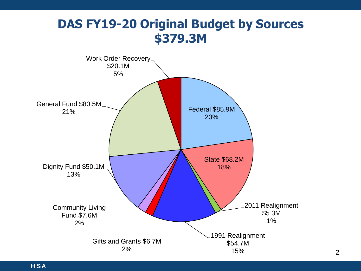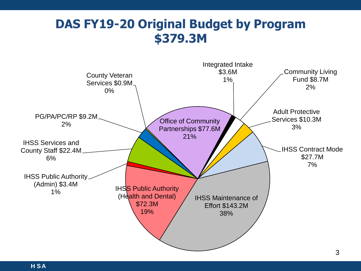#### **DAS FY19-20 Original Budget by Program \$379.3M**

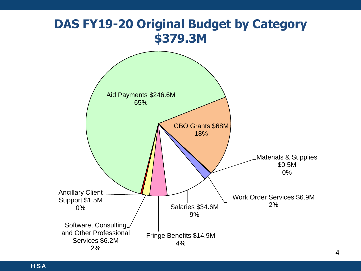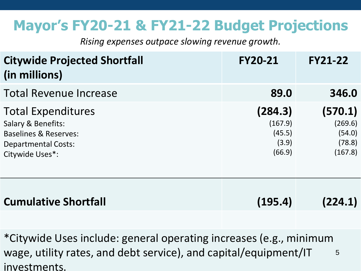# **Mayor's FY20-21 & FY21-22 Budget Projections**

*Rising expenses outpace slowing revenue growth.*

| <b>Citywide Projected Shortfall</b><br>(in millions)                                                                                            | <b>FY20-21</b>                                  | <b>FY21-22</b>                                    |
|-------------------------------------------------------------------------------------------------------------------------------------------------|-------------------------------------------------|---------------------------------------------------|
| <b>Total Revenue Increase</b>                                                                                                                   | 89.0                                            | 346.0                                             |
| <b>Total Expenditures</b><br><b>Salary &amp; Benefits:</b><br><b>Baselines &amp; Reserves:</b><br><b>Departmental Costs:</b><br>Citywide Uses*: | (284.3)<br>(167.9)<br>(45.5)<br>(3.9)<br>(66.9) | (570.1)<br>(269.6)<br>(54.0)<br>(78.8)<br>(167.8) |
| <b>Cumulative Shortfall</b>                                                                                                                     | (195.4)                                         | (224.1)                                           |

**H SA** investments. \*Citywide Uses include: general operating increases (e.g., minimum wage, utility rates, and debt service), and capital/equipment/IT 5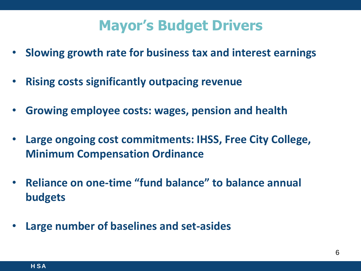### **Mayor's Budget Drivers**

- **Slowing growth rate for business tax and interest earnings**
- **Rising costs significantly outpacing revenue**
- **Growing employee costs: wages, pension and health**
- **Large ongoing cost commitments: IHSS, Free City College, Minimum Compensation Ordinance**
- $'$  to hale 36% • **Reliance on one-time "fund balance" to balance annual budgets**
- **Large number of baselines and set-asides**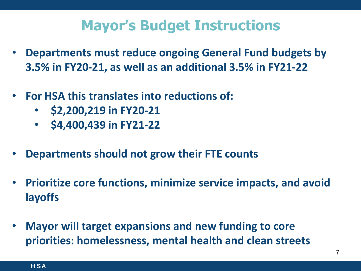### **Mayor's Budget Instructions**

- **Departments must reduce ongoing General Fund budgets by 3.5% in FY20-21, as well as an additional 3.5% in FY21-22**
- **For HSA this translates into reductions of:**
	- **\$2,200,219 in FY20-21**
	- **\$4,400,439 in FY21-22**
- **Departments should not grow their FTE counts**
- $m$ ica ir  $\overline{\phantom{a}}$ • **Prioritize core functions, minimize service impacts, and avoid layoffs**
- **Mayor will target expansions and new funding to core priorities: homelessness, mental health and clean streets**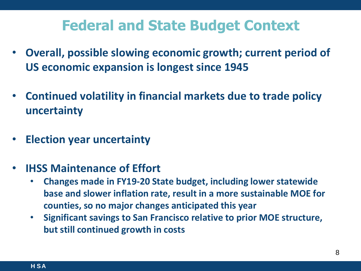### **Federal and State Budget Context**

- **Overall, possible slowing economic growth; current period of US economic expansion is longest since 1945**
- **Continued volatility in financial markets due to trade policy uncertainty**
- **Election year uncertainty**
- **IHSS Maintenance of Effort**
	- **Changes made in FY19-20 State budget, including lower statewide** base and slower inflation rate, result in a more sustainable MOE for **counties, so no major changes anticipated this year**
	- **Significant savings to San Francisco relative to prior MOE structure, but still continued growth in costs**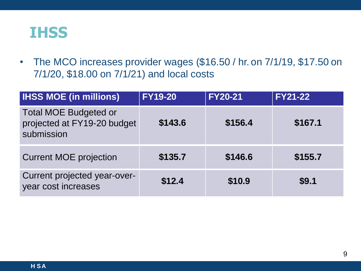

• The MCO increases provider wages (\$16.50 / hr. on 7/1/19, \$17.50 on 7/1/20, \$18.00 on 7/1/21) and local costs

| <b>IHSS MOE (in millions)</b>                                             | <b>FY19-20</b> | <b>FY20-21</b> | <b>FY21-22</b> |
|---------------------------------------------------------------------------|----------------|----------------|----------------|
| <b>Total MOE Budgeted or</b><br>projected at FY19-20 budget<br>submission | \$143.6        | \$156.4        | \$167.1        |
| <b>Current MOE projection</b>                                             | \$135.7        | \$146.6        | \$155.7        |
| Current projected year-over-<br>year cost increases                       | \$12.4         | \$10.9         | \$9.1          |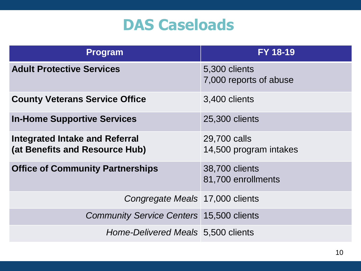# **DAS Caseloads**

| <b>Program</b>                                                          | <b>FY 18-19</b>                         |
|-------------------------------------------------------------------------|-----------------------------------------|
| <b>Adult Protective Services</b>                                        | 5,300 clients<br>7,000 reports of abuse |
| <b>County Veterans Service Office</b>                                   | 3,400 clients                           |
| <b>In-Home Supportive Services</b>                                      | 25,300 clients                          |
| <b>Integrated Intake and Referral</b><br>(at Benefits and Resource Hub) | 29,700 calls<br>14,500 program intakes  |
| <b>Office of Community Partnerships</b>                                 | 38,700 clients<br>81,700 enrollments    |
| Congregate Meals 17,000 clients                                         |                                         |
| <b>Community Service Centers 15,500 clients</b>                         |                                         |
| Home-Delivered Meals 5,500 clients                                      |                                         |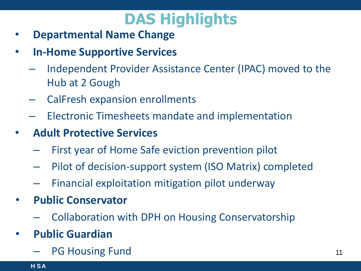# **DAS Highlights**

- **Departmental Name Change**
- **In-Home Supportive Services**
	- Independent Provider Assistance Center (IPAC) moved to the Hub at 2 Gough
	- CalFresh expansion enrollments
	- Electronic Timesheets mandate and implementation
- **Adult Protective Services**
	- First year of Home Safe eviction prevention pilot
	- Pilot of decision-support system (ISO Matrix) completed
	- Financial exploitation mitigation pilot underway
- **Public Conservator**
	- Collaboration with DPH on Housing Conservatorship
- **Public Guardian**
	- PG Housing Fund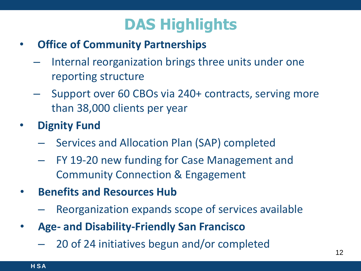# **DAS Highlights**

- **Office of Community Partnerships**
	- Internal reorganization brings three units under one reporting structure
	- Support over 60 CBOs via 240+ contracts, serving more than 38,000 clients per year
- **Dignity Fund**
	- Services and Allocation Plan (SAP) completed
	- FY 19-20 new funding for Case Management and Community Connection & Engagement
- **Benefits and Resources Hub**
	- Reorganization expands scope of services available
- **Age- and Disability-Friendly San Francisco** 
	- 20 of 24 initiatives begun and/or completed